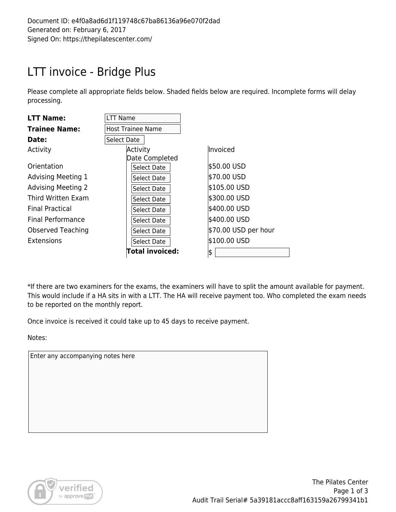## LTT invoice - Bridge Plus

Please complete all appropriate fields below. Shaded fields below are required. Incomplete forms will delay processing.

| <b>LTT Name:</b>          | LTT Name                 |                      |
|---------------------------|--------------------------|----------------------|
| <b>Trainee Name:</b>      | <b>Host Trainee Name</b> |                      |
| Date:                     | Select Date              |                      |
| Activity                  | Activity                 | Invoiced             |
|                           | Date Completed           |                      |
| Orientation               | Select Date              | \$50.00 USD          |
| <b>Advising Meeting 1</b> | <b>Select Date</b>       | \$70.00 USD          |
| <b>Advising Meeting 2</b> | Select Date              | \$105.00 USD         |
| Third Written Exam        | Select Date              | \$300.00 USD         |
| <b>Final Practical</b>    | Select Date              | \$400.00 USD         |
| <b>Final Performance</b>  | Select Date              | \$400.00 USD         |
| Observed Teaching         | Select Date              | \$70.00 USD per hour |
| Extensions                | Select Date              | \$100.00 USD         |
|                           | Total invoiced:          | \$                   |

\*If there are two examiners for the exams, the examiners will have to split the amount available for payment. This would include if a HA sits in with a LTT. The HA will receive payment too. Who completed the exam needs to be reported on the monthly report.

Once invoice is received it could take up to 45 days to receive payment.

Notes:

Enter any accompanying notes here

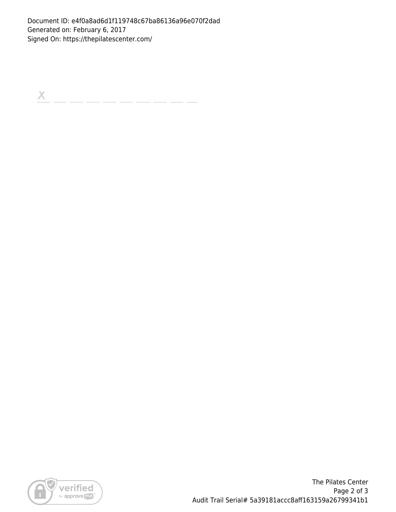Document ID: e4f0a8ad6d1f119748c67ba86136a96e070f2dad Generated on: February 6, 2017 Signed On: https://thepilatescenter.com/

 $\boldsymbol{\times}$ 



The Pilates Center Page 2 of 3 Audit Trail Serial# 5a39181accc8aff163159a26799341b1